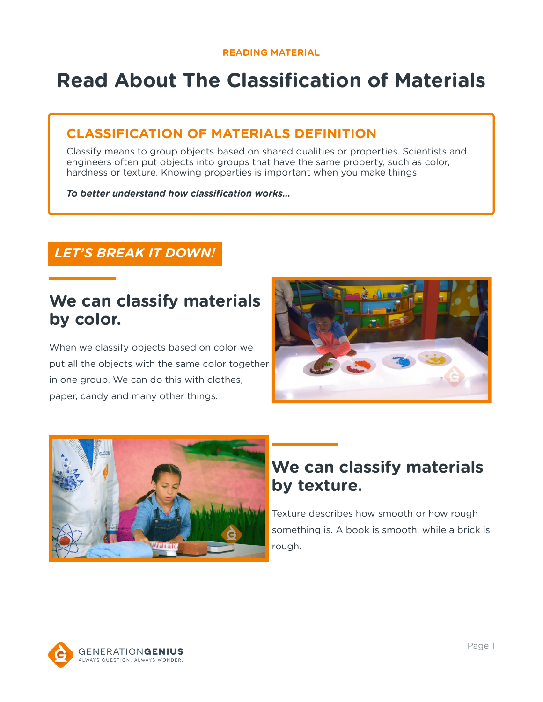# **Read About The Classification of Materials**

### **CLASSIFICATION OF MATERIALS DEFINITION**

Classify means to group objects based on shared qualities or properties. Scientists and engineers often put objects into groups that have the same property, such as color, hardness or texture. Knowing properties is important when you make things.

*To better understand how classification works…*

### *LET'S BREAK IT DOWN!*

## **We can classify materials by color.**

When we classify objects based on color we put all the objects with the same color together in one group. We can do this with clothes, paper, candy and many other things.





# **We can classify materials by texture.**

Texture describes how smooth or how rough something is. A book is smooth, while a brick is rough.

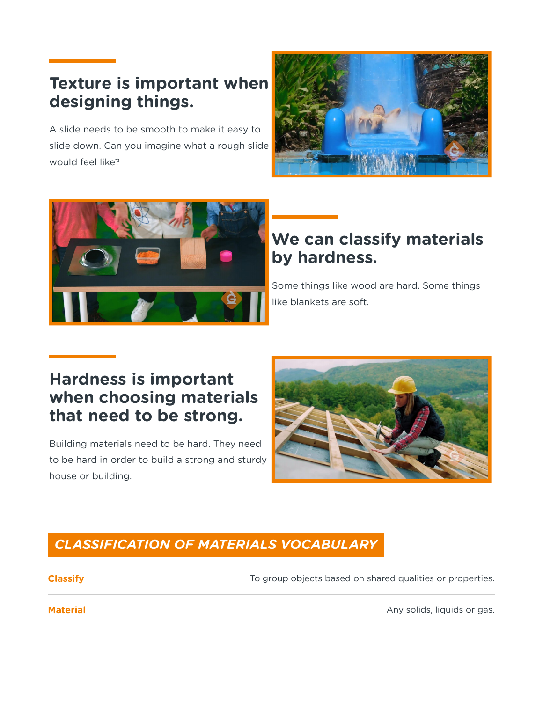# **Texture is important when designing things.**

A slide needs to be smooth to make it easy to slide down. Can you imagine what a rough slide would feel like?





# **We can classify materials by hardness.**

Some things like wood are hard. Some things like blankets are soft.

# **Hardness is important when choosing materials that need to be strong.**

Building materials need to be hard. They need to be hard in order to build a strong and sturdy house or building.



### *CLASSIFICATION OF MATERIALS VOCABULARY*

**Classify Classify To group objects based on shared qualities or properties.** 

**Material** Any solids, liquids or gas.